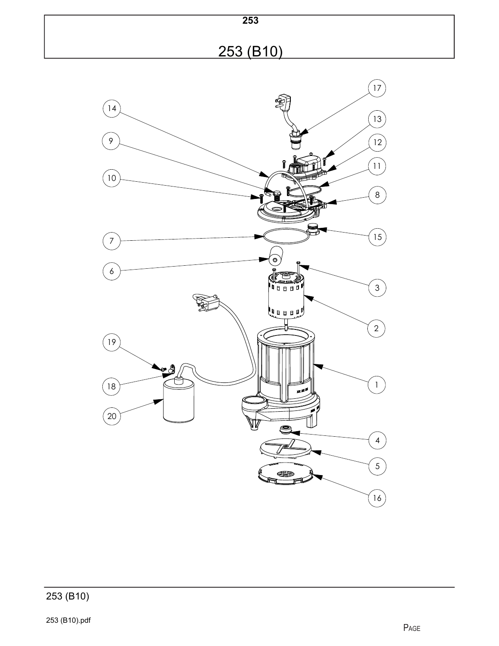

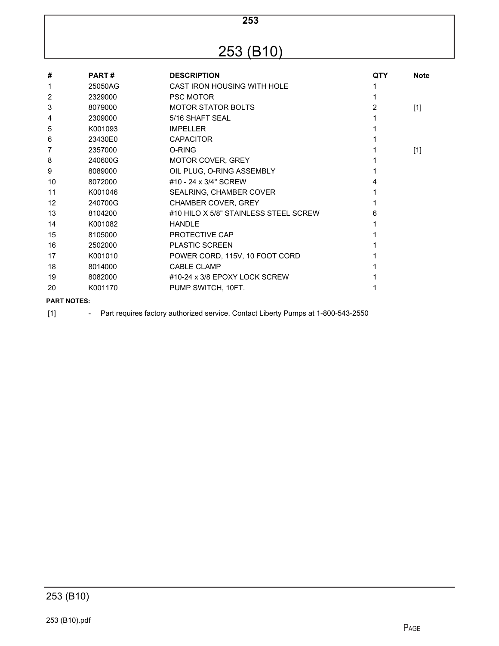# 253 (B10)

| #              | <b>PART#</b> | <b>DESCRIPTION</b>                    | <b>QTY</b> | <b>Note</b> |
|----------------|--------------|---------------------------------------|------------|-------------|
| 1              | 25050AG      | CAST IRON HOUSING WITH HOLE           |            |             |
| $\overline{2}$ | 2329000      | <b>PSC MOTOR</b>                      |            |             |
| 3              | 8079000      | <b>MOTOR STATOR BOLTS</b>             | 2          | $[1]$       |
| 4              | 2309000      | 5/16 SHAFT SEAL                       |            |             |
| 5              | K001093      | <b>IMPELLER</b>                       |            |             |
| 6              | 23430E0      | <b>CAPACITOR</b>                      |            |             |
| 7              | 2357000      | O-RING                                |            | $[1]$       |
| 8              | 240600G      | <b>MOTOR COVER, GREY</b>              |            |             |
| 9              | 8089000      | OIL PLUG, O-RING ASSEMBLY             |            |             |
| 10             | 8072000      | #10 - 24 x 3/4" SCREW                 |            |             |
| 11             | K001046      | SEALRING, CHAMBER COVER               |            |             |
| 12             | 240700G      | <b>CHAMBER COVER, GREY</b>            |            |             |
| 13             | 8104200      | #10 HILO X 5/8" STAINLESS STEEL SCREW | 6          |             |
| 14             | K001082      | <b>HANDLE</b>                         |            |             |
| 15             | 8105000      | PROTECTIVE CAP                        |            |             |
| 16             | 2502000      | <b>PLASTIC SCREEN</b>                 |            |             |
| 17             | K001010      | POWER CORD, 115V, 10 FOOT CORD        |            |             |
| 18             | 8014000      | <b>CABLE CLAMP</b>                    |            |             |
| 19             | 8082000      | #10-24 x 3/8 EPOXY LOCK SCREW         |            |             |
| 20             | K001170      | PUMP SWITCH, 10FT.                    |            |             |
|                |              |                                       |            |             |

#### **PART NOTES:**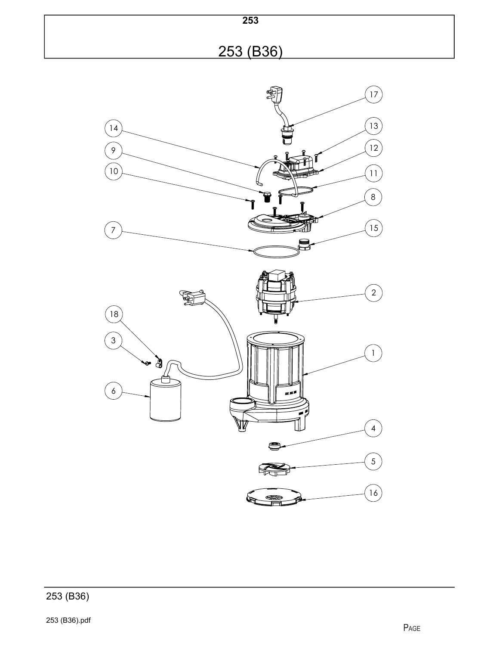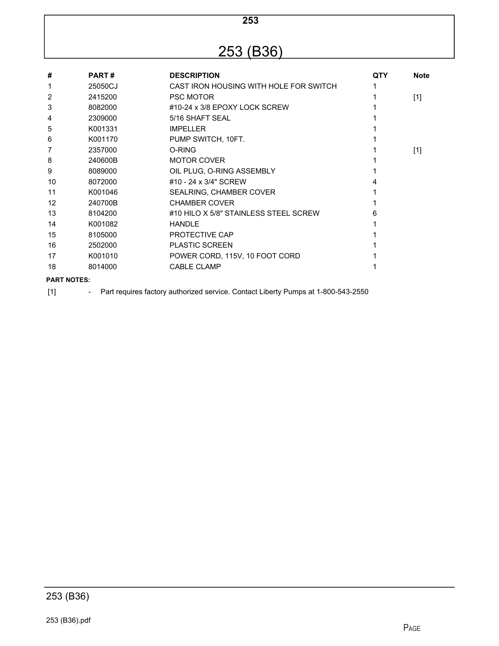# 253 (B36)

| #                  | <b>PART#</b> | <b>DESCRIPTION</b>                     | <b>QTY</b> | <b>Note</b> |
|--------------------|--------------|----------------------------------------|------------|-------------|
| 1                  | 25050CJ      | CAST IRON HOUSING WITH HOLE FOR SWITCH |            |             |
| 2                  | 2415200      | <b>PSC MOTOR</b>                       |            | $[1]$       |
| 3                  | 8082000      | #10-24 x 3/8 EPOXY LOCK SCREW          |            |             |
| 4                  | 2309000      | 5/16 SHAFT SEAL                        |            |             |
| 5                  | K001331      | <b>IMPELLER</b>                        |            |             |
| 6                  | K001170      | PUMP SWITCH, 10FT.                     |            |             |
| 7                  | 2357000      | O-RING                                 |            | $[1]$       |
| 8                  | 240600B      | <b>MOTOR COVER</b>                     |            |             |
| 9                  | 8089000      | OIL PLUG, O-RING ASSEMBLY              |            |             |
| 10                 | 8072000      | #10 - 24 x 3/4" SCREW                  |            |             |
| 11                 | K001046      | SEALRING, CHAMBER COVER                |            |             |
| $12 \overline{ }$  | 240700B      | <b>CHAMBER COVER</b>                   |            |             |
| 13                 | 8104200      | #10 HILO X 5/8" STAINLESS STEEL SCREW  | 6          |             |
| 14                 | K001082      | <b>HANDLE</b>                          |            |             |
| 15                 | 8105000      | PROTECTIVE CAP                         |            |             |
| 16                 | 2502000      | <b>PLASTIC SCREEN</b>                  |            |             |
| 17                 | K001010      | POWER CORD, 115V, 10 FOOT CORD         |            |             |
| 18                 | 8014000      | <b>CABLE CLAMP</b>                     |            |             |
| <b>PART NOTES:</b> |              |                                        |            |             |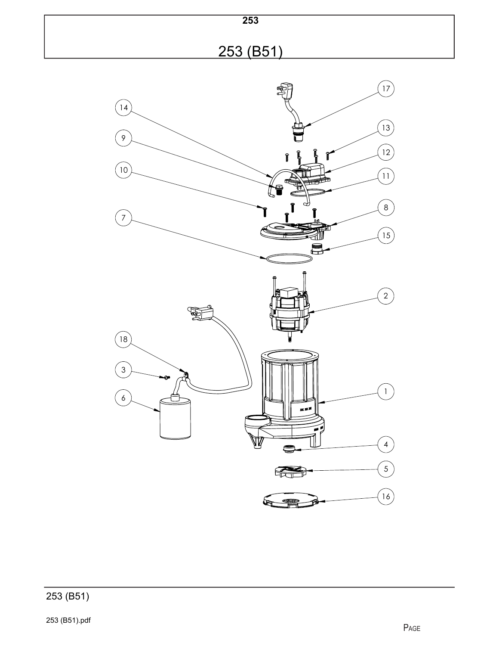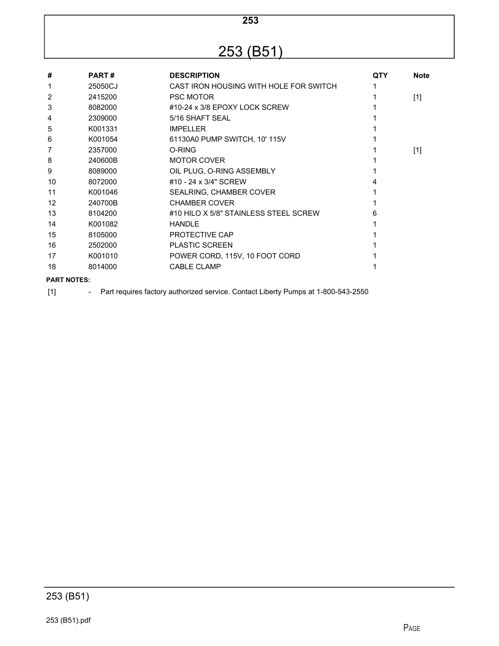# 253 (B51)

| #                  | <b>PART#</b> | <b>DESCRIPTION</b>                     | QTY | <b>Note</b> |
|--------------------|--------------|----------------------------------------|-----|-------------|
| 1                  | 25050CJ      | CAST IRON HOUSING WITH HOLE FOR SWITCH |     |             |
| 2                  | 2415200      | <b>PSC MOTOR</b>                       |     | $[1]$       |
| 3                  | 8082000      | #10-24 x 3/8 EPOXY LOCK SCREW          |     |             |
| 4                  | 2309000      | 5/16 SHAFT SEAL                        |     |             |
| 5                  | K001331      | <b>IMPELLER</b>                        |     |             |
| 6                  | K001054      | 61130A0 PUMP SWITCH, 10' 115V          |     |             |
| 7                  | 2357000      | O-RING                                 |     | $[1]$       |
| 8                  | 240600B      | <b>MOTOR COVER</b>                     |     |             |
| 9                  | 8089000      | OIL PLUG, O-RING ASSEMBLY              |     |             |
| 10                 | 8072000      | #10 - 24 x 3/4" SCREW                  |     |             |
| 11                 | K001046      | SEALRING, CHAMBER COVER                |     |             |
| $12 \overline{ }$  | 240700B      | <b>CHAMBER COVER</b>                   |     |             |
| 13                 | 8104200      | #10 HILO X 5/8" STAINLESS STEEL SCREW  | 6   |             |
| 14                 | K001082      | <b>HANDIF</b>                          |     |             |
| 15                 | 8105000      | PROTECTIVE CAP                         |     |             |
| 16                 | 2502000      | <b>PLASTIC SCREEN</b>                  |     |             |
| 17                 | K001010      | POWER CORD, 115V, 10 FOOT CORD         |     |             |
| 18                 | 8014000      | <b>CABLE CLAMP</b>                     |     |             |
| <b>PART NOTES:</b> |              |                                        |     |             |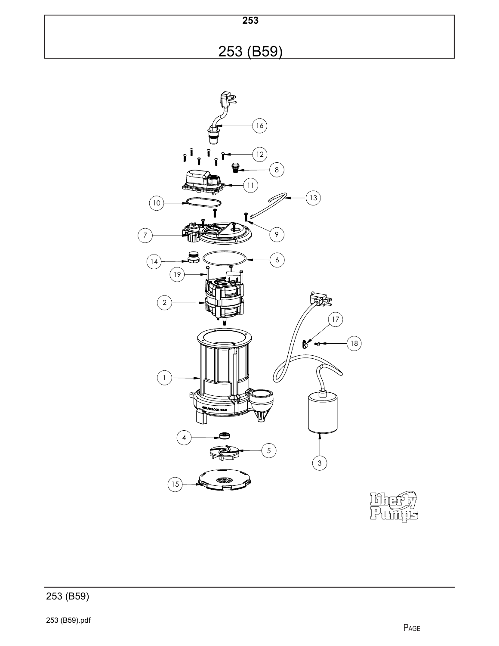253 (B59)

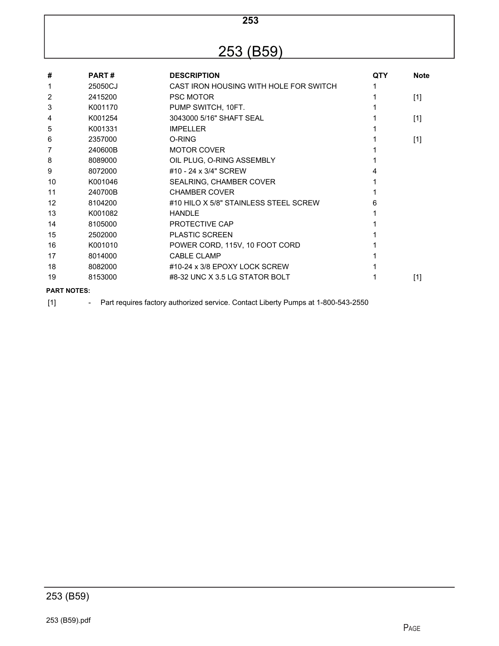# 253 (B59)

| #                  | <b>PART#</b> | <b>DESCRIPTION</b>                     | <b>QTY</b> | <b>Note</b> |
|--------------------|--------------|----------------------------------------|------------|-------------|
| 1                  | 25050CJ      | CAST IRON HOUSING WITH HOLE FOR SWITCH |            |             |
| 2                  | 2415200      | <b>PSC MOTOR</b>                       |            | $[1]$       |
| 3                  | K001170      | PUMP SWITCH, 10FT.                     |            |             |
| 4                  | K001254      | 3043000 5/16" SHAFT SEAL               |            | $[1]$       |
| 5                  | K001331      | <b>IMPELLER</b>                        |            |             |
| 6                  | 2357000      | O-RING                                 |            | $[1]$       |
| 7                  | 240600B      | <b>MOTOR COVER</b>                     |            |             |
| 8                  | 8089000      | OIL PLUG, O-RING ASSEMBLY              |            |             |
| 9                  | 8072000      | #10 - 24 x 3/4" SCREW                  | 4          |             |
| 10                 | K001046      | SEALRING, CHAMBER COVER                |            |             |
| 11                 | 240700B      | <b>CHAMBER COVER</b>                   |            |             |
| $12 \overline{ }$  | 8104200      | #10 HILO X 5/8" STAINLESS STEEL SCREW  | 6          |             |
| 13                 | K001082      | <b>HANDIF</b>                          |            |             |
| 14                 | 8105000      | PROTECTIVE CAP                         |            |             |
| 15                 | 2502000      | <b>PLASTIC SCREEN</b>                  |            |             |
| 16                 | K001010      | POWER CORD, 115V, 10 FOOT CORD         |            |             |
| 17                 | 8014000      | <b>CABLE CLAMP</b>                     |            |             |
| 18                 | 8082000      | #10-24 x 3/8 EPOXY LOCK SCREW          |            |             |
| 19                 | 8153000      | #8-32 UNC X 3.5 LG STATOR BOLT         |            | $[1]$       |
| <b>PART NOTES:</b> |              |                                        |            |             |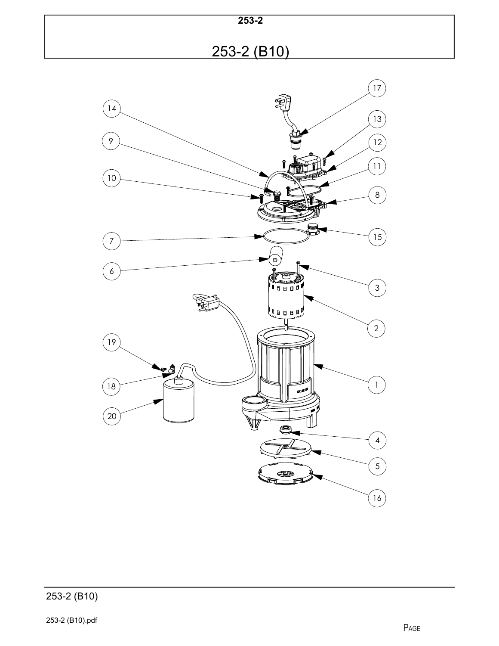| $253 - 2$   |  |
|-------------|--|
| 253-2 (B10) |  |

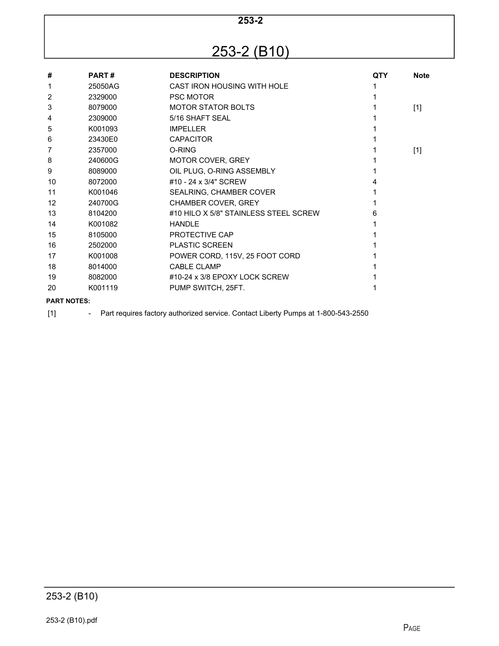## 253-2 (B10)

| #                 | <b>PART#</b> | <b>DESCRIPTION</b>                    | QTY | <b>Note</b> |
|-------------------|--------------|---------------------------------------|-----|-------------|
| 1                 | 25050AG      | CAST IRON HOUSING WITH HOLE           |     |             |
| 2                 | 2329000      | <b>PSC MOTOR</b>                      |     |             |
| 3                 | 8079000      | <b>MOTOR STATOR BOLTS</b>             |     | $[1]$       |
| 4                 | 2309000      | 5/16 SHAFT SEAL                       |     |             |
| 5                 | K001093      | <b>IMPELLER</b>                       |     |             |
| 6                 | 23430E0      | <b>CAPACITOR</b>                      |     |             |
| 7                 | 2357000      | O-RING                                |     | $[1]$       |
| 8                 | 240600G      | <b>MOTOR COVER, GREY</b>              |     |             |
| 9                 | 8089000      | OIL PLUG, O-RING ASSEMBLY             |     |             |
| 10                | 8072000      | #10 - 24 x 3/4" SCREW                 |     |             |
| 11                | K001046      | SEALRING, CHAMBER COVER               |     |             |
| $12 \overline{ }$ | 240700G      | <b>CHAMBER COVER, GREY</b>            |     |             |
| 13                | 8104200      | #10 HILO X 5/8" STAINLESS STEEL SCREW | 6   |             |
| 14                | K001082      | <b>HANDLE</b>                         |     |             |
| 15                | 8105000      | PROTECTIVE CAP                        |     |             |
| 16                | 2502000      | <b>PLASTIC SCREEN</b>                 |     |             |
| 17                | K001008      | POWER CORD, 115V, 25 FOOT CORD        |     |             |
| 18                | 8014000      | <b>CABLE CLAMP</b>                    |     |             |
| 19                | 8082000      | #10-24 x 3/8 EPOXY LOCK SCREW         |     |             |
| 20                | K001119      | PUMP SWITCH, 25FT.                    |     |             |
|                   |              |                                       |     |             |

#### **PART NOTES:**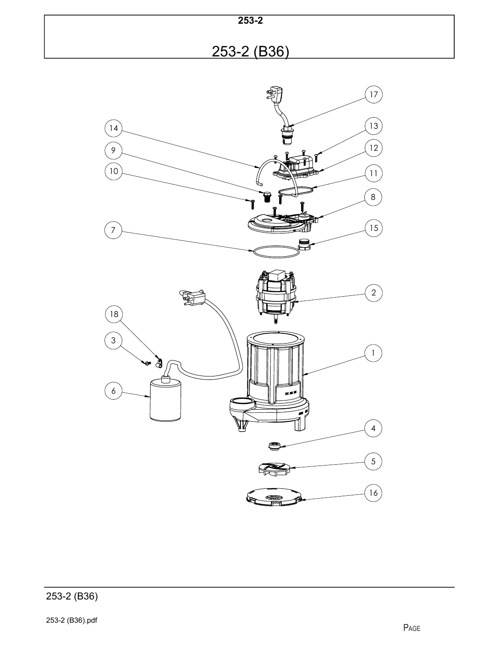



253-2 (B36).pdf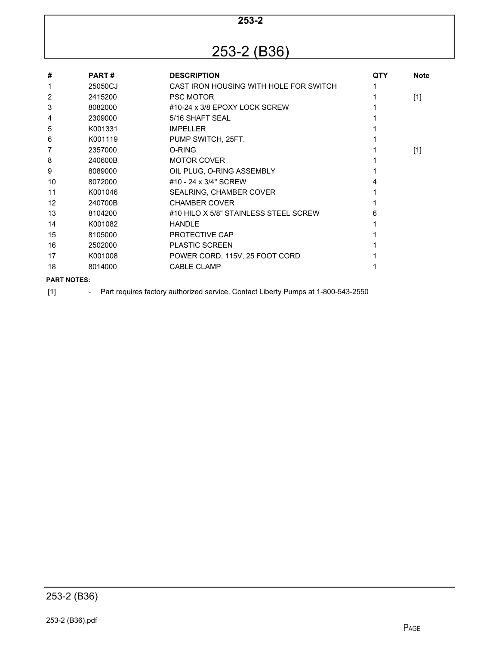## 253-2 (B36)

| #                  | <b>PART#</b> | <b>DESCRIPTION</b>                     | <b>QTY</b> | <b>Note</b> |
|--------------------|--------------|----------------------------------------|------------|-------------|
| 1                  | 25050CJ      | CAST IRON HOUSING WITH HOLE FOR SWITCH |            |             |
| 2                  | 2415200      | <b>PSC MOTOR</b>                       |            | $[1]$       |
| 3                  | 8082000      | #10-24 x 3/8 EPOXY LOCK SCREW          |            |             |
| 4                  | 2309000      | 5/16 SHAFT SEAL                        |            |             |
| 5                  | K001331      | <b>IMPELLER</b>                        |            |             |
| 6                  | K001119      | PUMP SWITCH, 25FT.                     |            |             |
| 7                  | 2357000      | O-RING                                 |            | $[1]$       |
| 8                  | 240600B      | <b>MOTOR COVER</b>                     |            |             |
| 9                  | 8089000      | OIL PLUG, O-RING ASSEMBLY              |            |             |
| 10                 | 8072000      | #10 - 24 x 3/4" SCREW                  |            |             |
| 11                 | K001046      | SEALRING, CHAMBER COVER                |            |             |
| $12 \overline{ }$  | 240700B      | <b>CHAMBER COVER</b>                   |            |             |
| 13                 | 8104200      | #10 HILO X 5/8" STAINLESS STEEL SCREW  | 6          |             |
| 14                 | K001082      | <b>HANDLE</b>                          |            |             |
| 15                 | 8105000      | PROTECTIVE CAP                         |            |             |
| 16                 | 2502000      | <b>PLASTIC SCREEN</b>                  |            |             |
| 17                 | K001008      | POWER CORD, 115V, 25 FOOT CORD         |            |             |
| 18                 | 8014000      | <b>CABLE CLAMP</b>                     |            |             |
| <b>PART NOTES:</b> |              |                                        |            |             |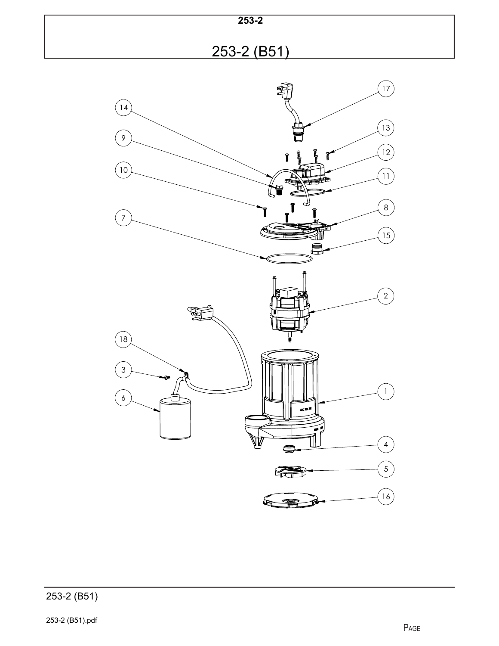

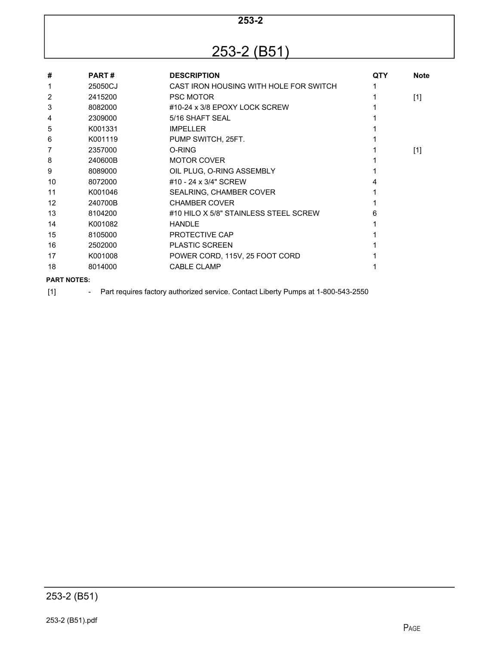## 253-2 (B51)

| #                  | <b>PART#</b> | <b>DESCRIPTION</b>                     | <b>QTY</b> | <b>Note</b> |
|--------------------|--------------|----------------------------------------|------------|-------------|
| 1                  | 25050CJ      | CAST IRON HOUSING WITH HOLE FOR SWITCH |            |             |
| 2                  | 2415200      | <b>PSC MOTOR</b>                       |            | $[1]$       |
| 3                  | 8082000      | #10-24 x 3/8 EPOXY LOCK SCREW          |            |             |
| 4                  | 2309000      | 5/16 SHAFT SEAL                        |            |             |
| 5                  | K001331      | <b>IMPELLER</b>                        |            |             |
| 6                  | K001119      | PUMP SWITCH, 25FT.                     |            |             |
| 7                  | 2357000      | O-RING                                 |            | $[1]$       |
| 8                  | 240600B      | <b>MOTOR COVER</b>                     |            |             |
| 9                  | 8089000      | OIL PLUG, O-RING ASSEMBLY              |            |             |
| 10                 | 8072000      | #10 - 24 x 3/4" SCREW                  |            |             |
| 11                 | K001046      | SEALRING, CHAMBER COVER                |            |             |
| $12 \overline{ }$  | 240700B      | <b>CHAMBER COVER</b>                   |            |             |
| 13                 | 8104200      | #10 HILO X 5/8" STAINLESS STEEL SCREW  | 6          |             |
| 14                 | K001082      | <b>HANDLE</b>                          |            |             |
| 15                 | 8105000      | PROTECTIVE CAP                         |            |             |
| 16                 | 2502000      | <b>PLASTIC SCREEN</b>                  |            |             |
| 17                 | K001008      | POWER CORD, 115V, 25 FOOT CORD         |            |             |
| 18                 | 8014000      | <b>CABLE CLAMP</b>                     |            |             |
| <b>PART NOTES:</b> |              |                                        |            |             |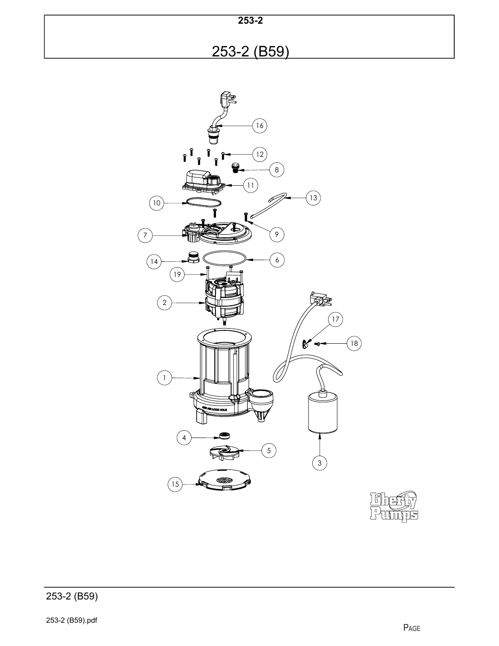**253-2** 253-2 (B59)

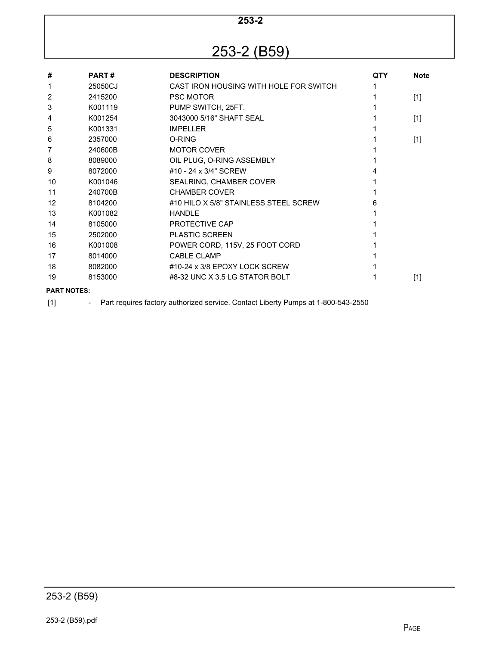### 253-2 (B59)

| #                  | <b>PART#</b> | <b>DESCRIPTION</b>                     | <b>QTY</b> | <b>Note</b> |
|--------------------|--------------|----------------------------------------|------------|-------------|
| 1                  | 25050CJ      | CAST IRON HOUSING WITH HOLE FOR SWITCH |            |             |
| 2                  | 2415200      | <b>PSC MOTOR</b>                       |            | $[1]$       |
| 3                  | K001119      | PUMP SWITCH, 25FT.                     |            |             |
| 4                  | K001254      | 3043000 5/16" SHAFT SEAL               |            | $[1]$       |
| 5                  | K001331      | <b>IMPELLER</b>                        |            |             |
| 6                  | 2357000      | O-RING                                 |            | $[1]$       |
| 7                  | 240600B      | <b>MOTOR COVER</b>                     |            |             |
| 8                  | 8089000      | OIL PLUG, O-RING ASSEMBLY              |            |             |
| 9                  | 8072000      | #10 - 24 x 3/4" SCREW                  |            |             |
| 10                 | K001046      | SEALRING, CHAMBER COVER                |            |             |
| 11                 | 240700B      | <b>CHAMBER COVER</b>                   |            |             |
| $12 \overline{ }$  | 8104200      | #10 HILO X 5/8" STAINI FSS STEFL SCREW | 6          |             |
| 13                 | K001082      | <b>HANDLE</b>                          |            |             |
| 14                 | 8105000      | PROTECTIVE CAP                         |            |             |
| 15                 | 2502000      | <b>PLASTIC SCREEN</b>                  |            |             |
| 16                 | K001008      | POWER CORD, 115V, 25 FOOT CORD         |            |             |
| 17                 | 8014000      | <b>CABLE CLAMP</b>                     |            |             |
| 18                 | 8082000      | #10-24 x 3/8 EPOXY LOCK SCREW          |            |             |
| 19                 | 8153000      | #8-32 UNC X 3.5 LG STATOR BOLT         |            | $[1]$       |
| <b>PART NOTES:</b> |              |                                        |            |             |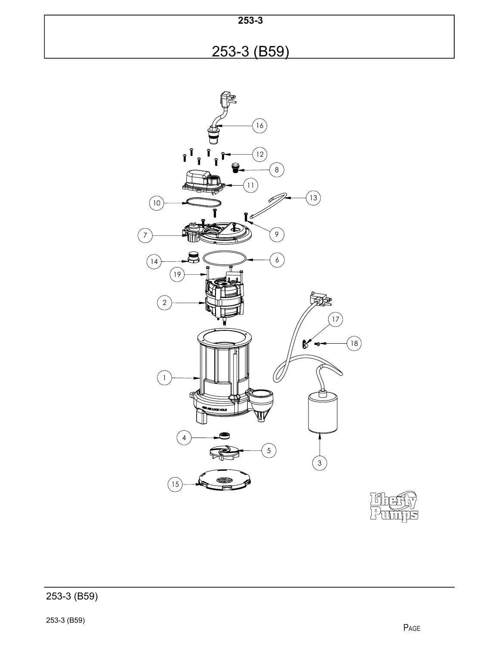| $253 - 3$   |  |
|-------------|--|
| 253-3 (B59) |  |